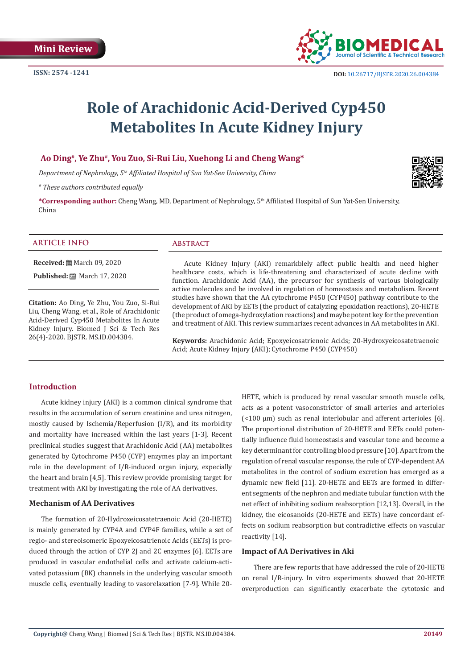

# **Role of Arachidonic Acid-Derived Cyp450 Metabolites In Acute Kidney Injury**

## **Ao Ding#, Ye Zhu#, You Zuo, Si-Rui Liu, Xuehong Li and Cheng Wang\***

*Department of Nephrology, 5th Affiliated Hospital of Sun Yat-Sen University, China*

*# These authors contributed equally*

**\*Corresponding author:** Cheng Wang, MD, Department of Nephrology, 5th Affiliated Hospital of Sun Yat-Sen University, China

#### **ARTICLE INFO Abstract**

**Received:** March 09, 2020

**Published:** ■ March 17, 2020

**Citation:** Ao Ding, Ye Zhu, You Zuo, Si-Rui Liu, Cheng Wang, et al., Role of Arachidonic Acid-Derived Cyp450 Metabolites In Acute Kidney Injury. Biomed J Sci & Tech Res 26(4)-2020. BJSTR. MS.ID.004384.

Acute Kidney Injury (AKI) remarkblely affect public health and need higher healthcare costs, which is life-threatening and characterized of acute decline with function. Arachidonic Acid (AA), the precursor for synthesis of various biologically active molecules and be involved in regulation of homeostasis and metabolism. Recent studies have shown that the AA cytochrome P450 (CYP450) pathway contribute to the development of AKI by EETs (the product of catalyzing epoxidation reactions), 20-HETE (the product of omega-hydroxylation reactions) and maybe potent key for the prevention and treatment of AKI. This review summarizes recent advances in AA metabolites in AKI.

**Keywords:** Arachidonic Acid; Epoxyeicosatrienoic Acids; 20-Hydroxyeicosatetraenoic Acid; Acute Kidney Injury (AKI); Cytochrome P450 (CYP450)

### **Introduction**

Acute kidney injury (AKI) is a common clinical syndrome that results in the accumulation of serum creatinine and urea nitrogen, mostly caused by Ischemia/Reperfusion (I/R), and its morbidity and mortality have increased within the last years [1-3]. Recent preclinical studies suggest that Arachidonic Acid (AA) metabolites generated by Cytochrome P450 (CYP) enzymes play an important role in the development of I/R-induced organ injury, expecially the heart and brain [4,5]. This review provide promising target for treatment with AKI by investigating the role of AA derivatives.

#### **Mechanism of AA Derivatives**

The formation of 20-Hydroxeicosatetraenoic Acid (20-HETE) is mainly generated by CYP4A and CYP4F families, while a set of regio- and stereoisomeric Epoxyeicosatrienoic Acids (EETs) is produced through the action of CYP 2J and 2C enzymes [6]. EETs are produced in vascular endothelial cells and activate calcium-activated potassium (BK) channels in the underlying vascular smooth muscle cells, eventually leading to vasorelaxation [7-9]. While 20HETE, which is produced by renal vascular smooth muscle cells, acts as a potent vasoconstrictor of small arteries and arterioles (<100 µm) such as renal interlobular and afferent arterioles [6]. The proportional distribution of 20-HETE and EETs could potentially influence fluid homeostasis and vascular tone and become a key determinant for controlling blood pressure [10]. Apart from the regulation of renal vascular response, the role of CYP-dependent AA metabolites in the control of sodium excretion has emerged as a dynamic new field [11]. 20-HETE and EETs are formed in different segments of the nephron and mediate tubular function with the net effect of inhibiting sodium reabsorption [12,13]. Overall, in the kidney, the eicosanoids (20-HETE and EETs) have concordant effects on sodium reabsorption but contradictive effects on vascular reactivity [14].

#### **Impact of AA Derivatives in Aki**

There are few reports that have addressed the role of 20-HETE on renal I/R-injury. In vitro experiments showed that 20-HETE overproduction can significantly exacerbate the cytotoxic and